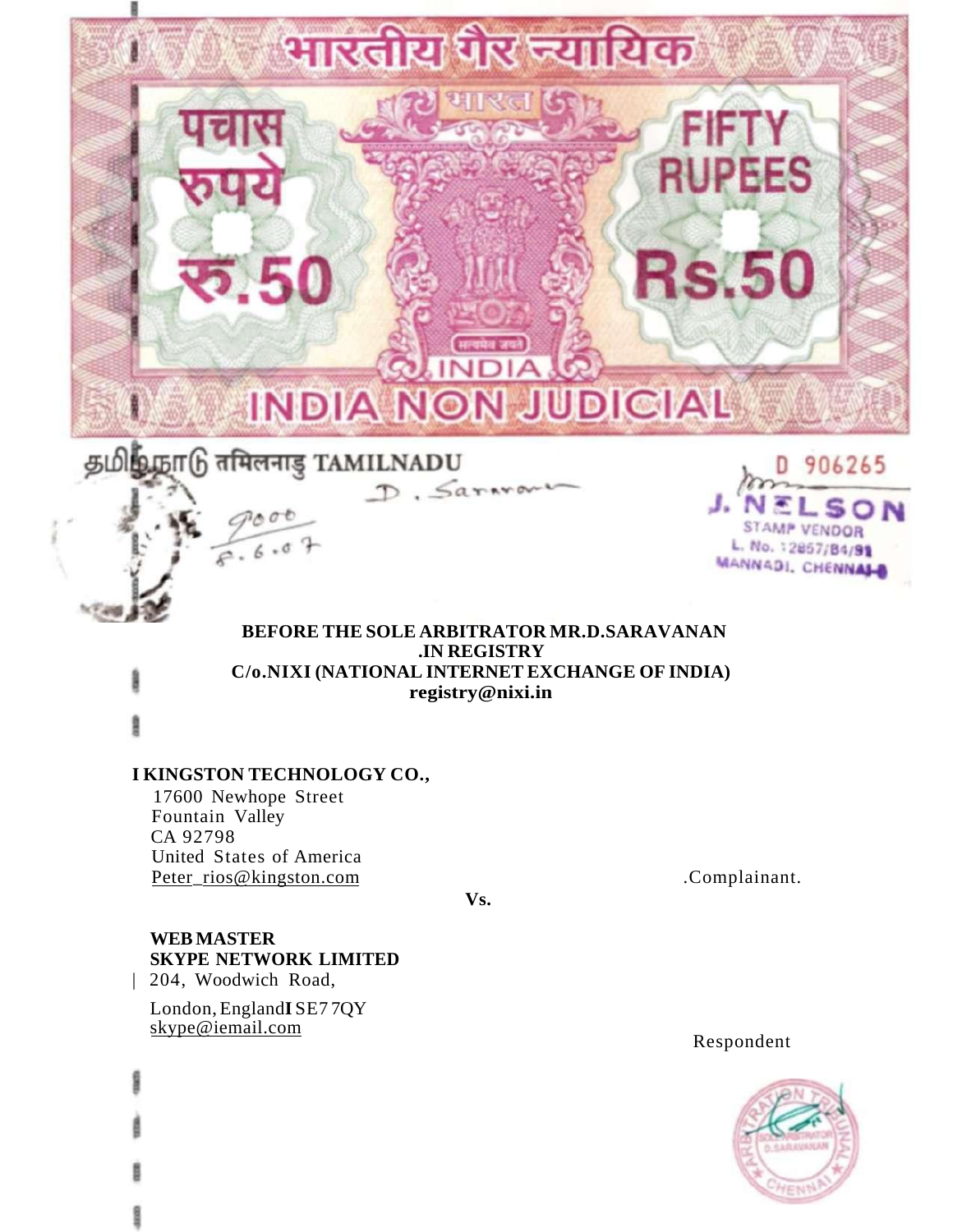

# **BEFORE THE SOLE ARBITRATOR MR.D.SARAVANAN .IN REGISTRY C/o.NIXI (NATIONAL INTERNET EXCHANGE OF INDIA) registry@nixi.in**

D. Sararons

# **I KINGSTON TECHNOLOGY CO.,**

17600 Newhope Street Fountain Valley CA 92798 United States of America Peter\_rios[@kingston.com](http://kingston.com) 

 $6.6.6$ 

**Vs.** 

.Complainant.

STAMP VENDOR

L. No. 12867/84/91 MANNADI, CHENNALD

# **WEB MASTER SKYPE NETWORK LIMITED**

| 204, Woodwich Road,

London, England**I** SE7 7QY [skype@iemail.com](http://skvpeffiemail.com) 

Respondent

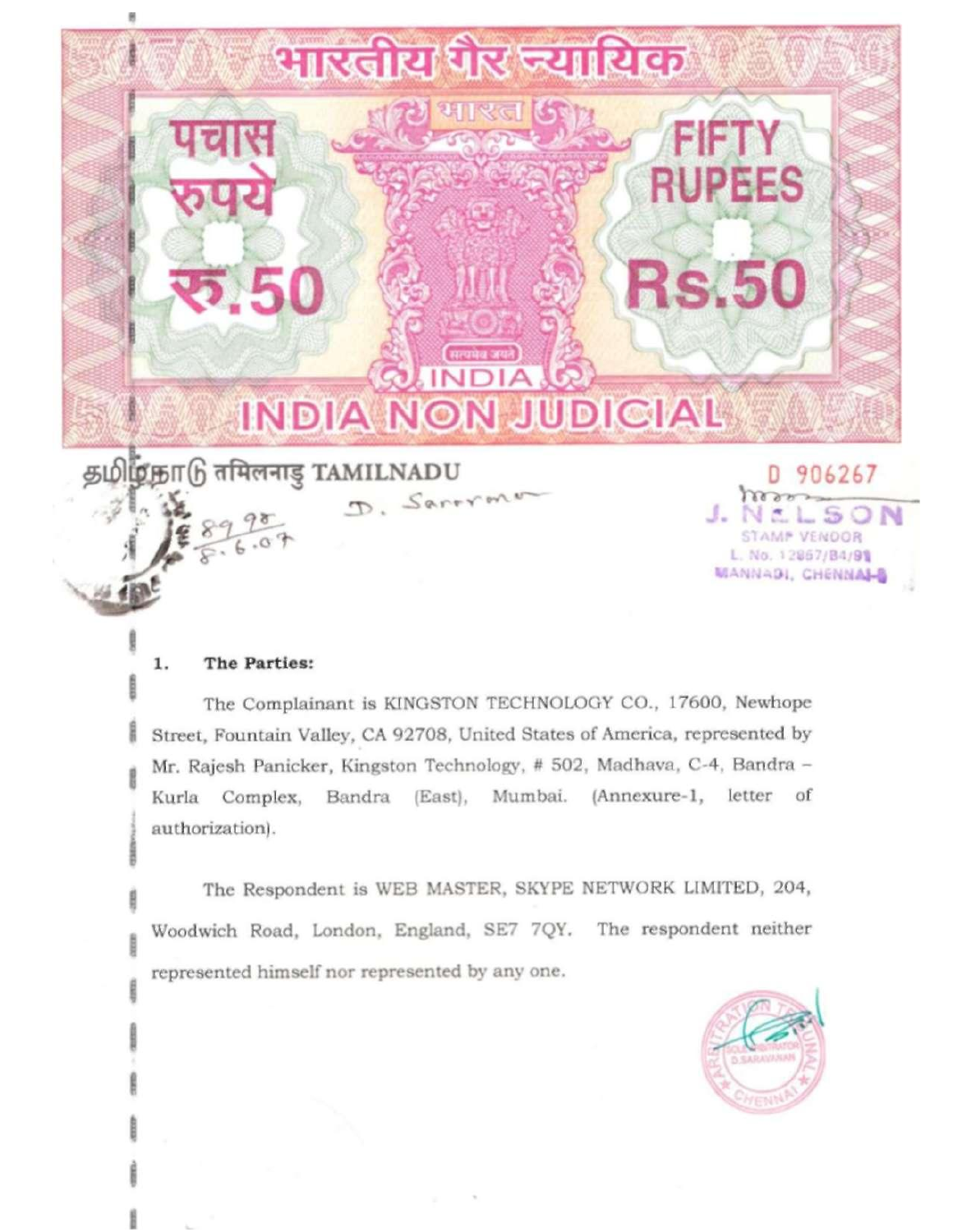

#### The Parties: 1.

The Complainant is KINGSTON TECHNOLOGY CO., 17600, Newhope Street, Fountain Valley, CA 92708, United States of America, represented by Mr. Rajesh Panicker, Kingston Technology, # 502, Madhava, C-4, Bandra -Kurla Complex, Bandra (East), Mumbai. (Annexure-1, letter of authorization).

The Respondent is WEB MASTER, SKYPE NETWORK LIMITED, 204, Woodwich Road, London, England, SE7 7QY. The respondent neither represented himself nor represented by any one.

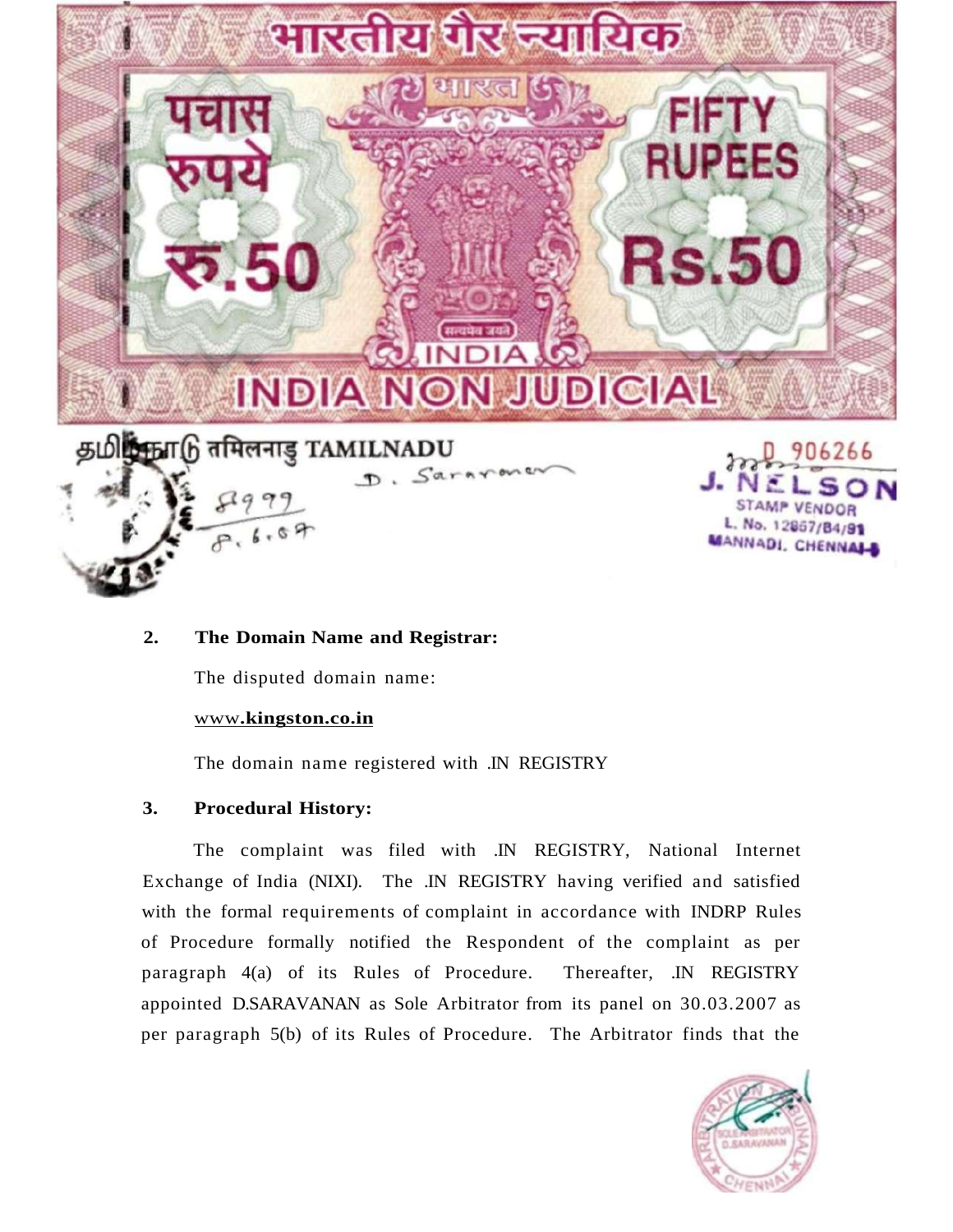

# **2. The Domain Name and Registrar:**

The disputed domain name:

# www**[.kingston.co.in](http://www.kingston.cq.in)**

The domain name registered with .IN REGISTRY

# **3. Procedural History:**

The complaint was filed with .IN REGISTRY, National Internet Exchange of India (NIXI). The .IN REGISTRY having verified and satisfied with the formal requirements of complaint in accordance with INDRP Rules of Procedure formally notified the Respondent of the complaint as per paragraph 4(a) of its Rules of Procedure. Thereafter, .IN REGISTRY appointed D.SARAVANAN as Sole Arbitrator from its panel on 30.03.2007 as per paragraph 5(b) of its Rules of Procedure. The Arbitrator finds that the

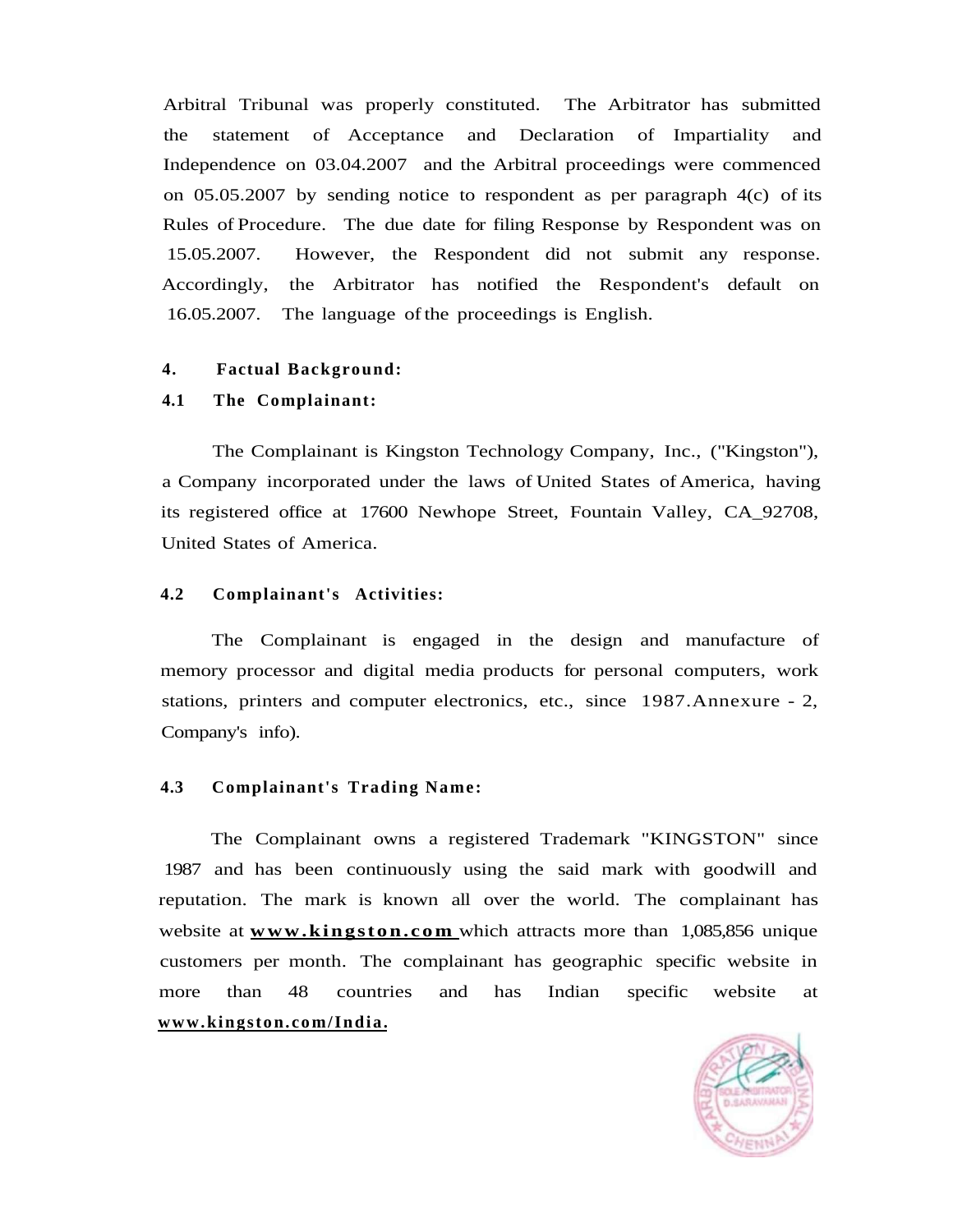Arbitral Tribunal was properly constituted. The Arbitrator has submitted the statement of Acceptance and Declaration of Impartiality and Independence on 03.04.2007 and the Arbitral proceedings were commenced on  $05.05.2007$  by sending notice to respondent as per paragraph  $4(c)$  of its Rules of Procedure. The due date for filing Response by Respondent was on 15.05.2007. However, the Respondent did not submit any response. Accordingly, the Arbitrator has notified the Respondent's default on 16.05.2007. The language of the proceedings is English.

### **4. Factual Background:**

# **4.1 The Complainant:**

The Complainant is Kingston Technology Company, Inc., ("Kingston"), a Company incorporated under the laws of United States of America, having its registered office at 17600 Newhope Street, Fountain Valley, CA\_92708, United States of America.

# **4.2 Complainant's Activities:**

The Complainant is engaged in the design and manufacture of memory processor and digital media products for personal computers, work stations, printers and computer electronics, etc., since 1987.Annexure - 2, Company's info).

### **4.3** Complainant's Trading Name:

The Complainant owns a registered Trademark "KINGSTON" since 1987 and has been continuously using the said mark with goodwill and reputation. The mark is known all over the world. The complainant has website at **[www.kingston.com](http://www.kingston.com)** which attracts more than 1,085,856 unique customers per month. The complainant has geographic specific website in more than 48 countries and has Indian specific website at **[www.kingston.com/India.](http://www.kingston.com/India)** 

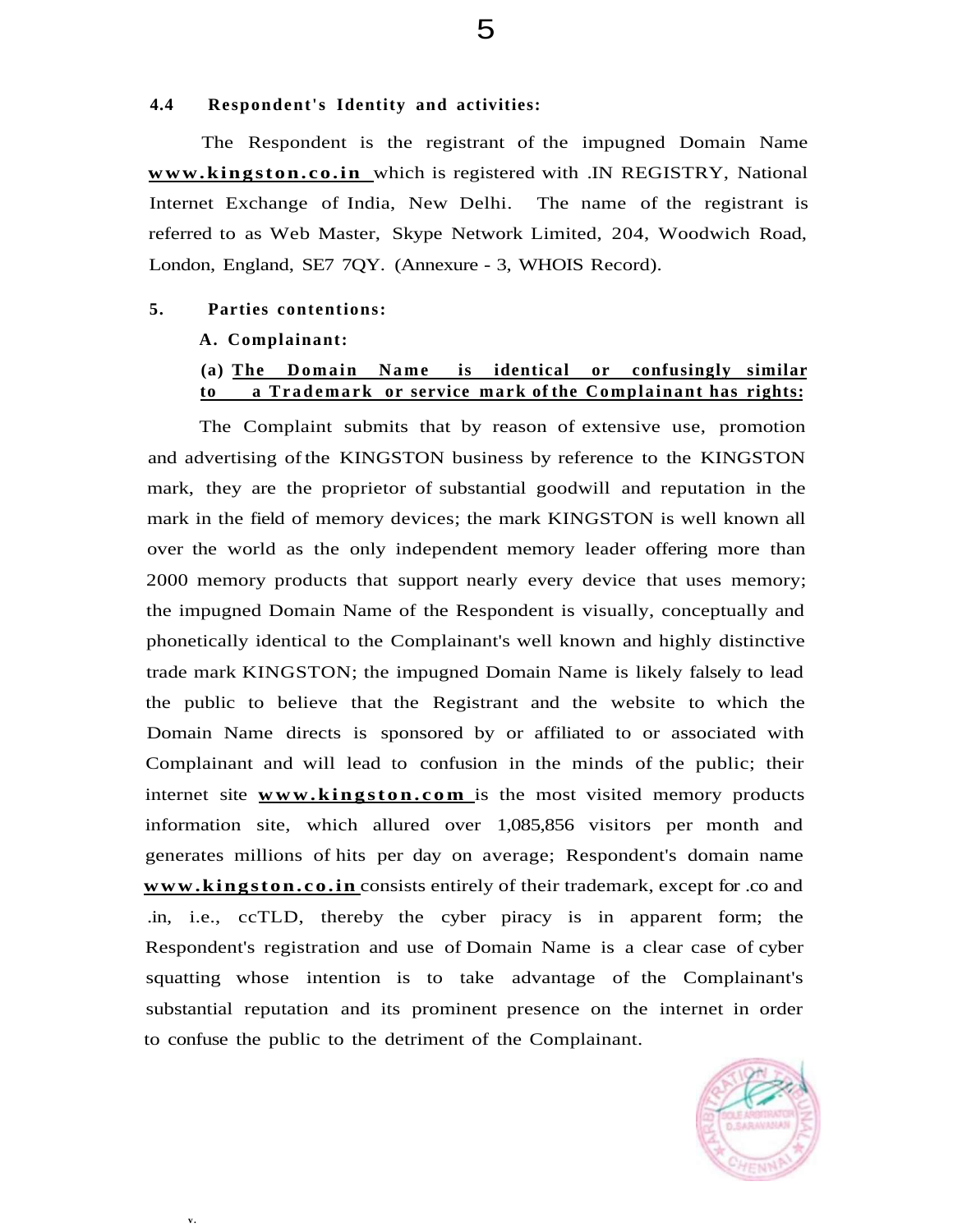#### **4.4 Respondent's Identity and activities:**

The Respondent is the registrant of the impugned Domain Name **[www.kingston.co.in](http://www.kingston.co.in)** which is registered with .IN REGISTRY, National Internet Exchange of India, New Delhi. The name of the registrant is referred to as Web Master, Skype Network Limited, 204, Woodwich Road, London, England, SE7 7QY. (Annexure - 3, WHOIS Record).

#### **5. Parties contentions:**

#### **A. Complainant:**

**v .** 

# **(a) The Domain Name is identical or confusingly similar to** a Trademark or service mark of the Complainant has rights:

The Complaint submits that by reason of extensive use, promotion and advertising of the KINGSTON business by reference to the KINGSTON mark, they are the proprietor of substantial goodwill and reputation in the mark in the field of memory devices; the mark KINGSTON is well known all over the world as the only independent memory leader offering more than 2000 memory products that support nearly every device that uses memory; the impugned Domain Name of the Respondent is visually, conceptually and phonetically identical to the Complainant's well known and highly distinctive trade mark KINGSTON; the impugned Domain Name is likely falsely to lead the public to believe that the Registrant and the website to which the Domain Name directs is sponsored by or affiliated to or associated with Complainant and will lead to confusion in the minds of the public; their internet site **[www.kingston.com](http://www.kingston.com)** is the most visited memory products information site, which allured over 1,085,856 visitors per month and generates millions of hits per day on average; Respondent's domain name **[www.kingston.co.in](http://www.kingston.co.in)** consists entirely of their trademark, except for .co and .in, i.e., ccTLD, thereby the cyber piracy is in apparent form; the Respondent's registration and use of Domain Name is a clear case of cyber squatting whose intention is to take advantage of the Complainant's substantial reputation and its prominent presence on the internet in order to confuse the public to the detriment of the Complainant.

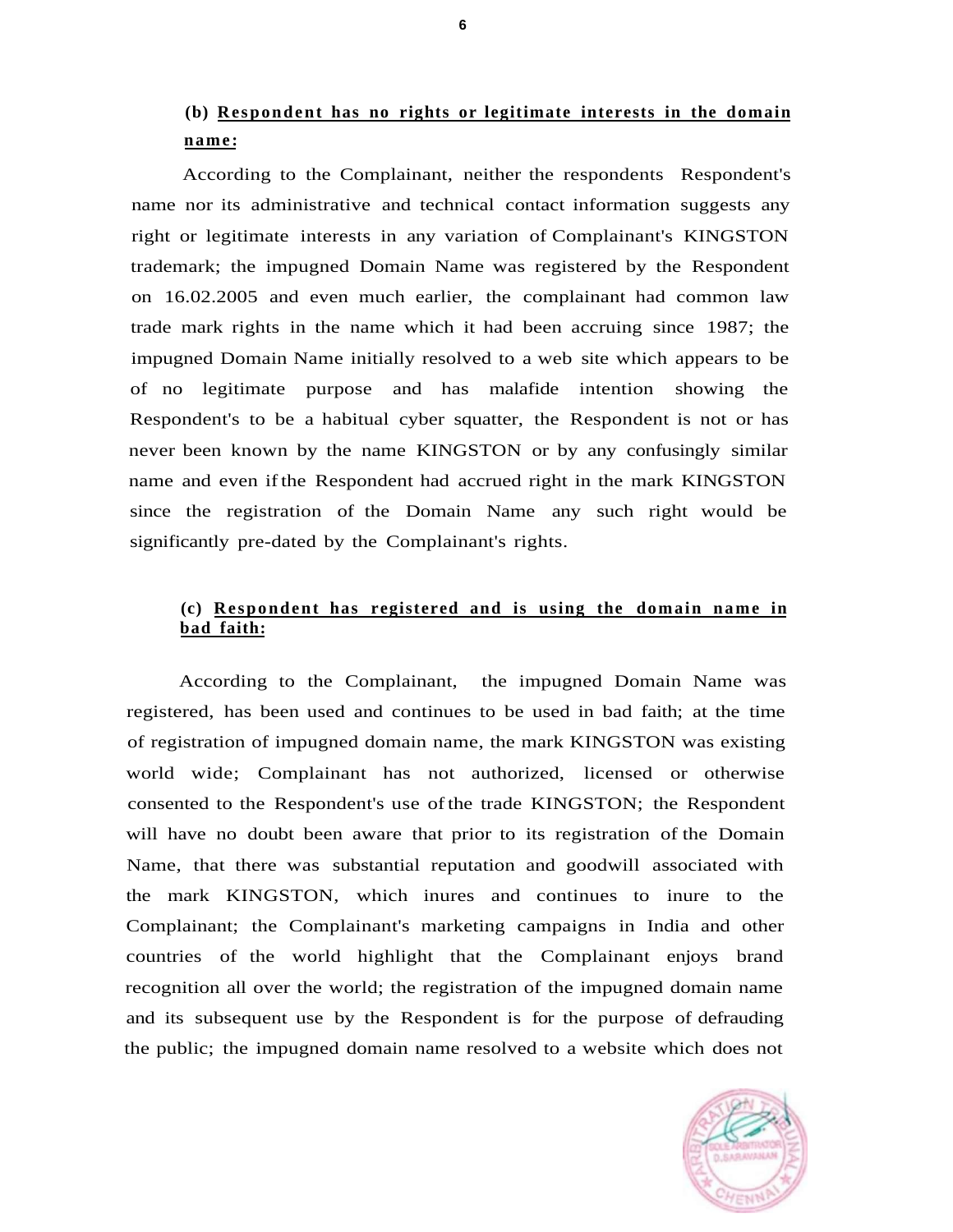# **(b) Respondent has no rights or legitimate interests in the domain name :**

According to the Complainant, neither the respondents Respondent's name nor its administrative and technical contact information suggests any right or legitimate interests in any variation of Complainant's KINGSTON trademark; the impugned Domain Name was registered by the Respondent on 16.02.2005 and even much earlier, the complainant had common law trade mark rights in the name which it had been accruing since 1987; the impugned Domain Name initially resolved to a web site which appears to be of no legitimate purpose and has malafide intention showing the Respondent's to be a habitual cyber squatter, the Respondent is not or has never been known by the name KINGSTON or by any confusingly similar name and even if the Respondent had accrued right in the mark KINGSTON since the registration of the Domain Name any such right would be significantly pre-dated by the Complainant's rights.

# **(c) Respondent has registered and is using the domain name in bad faith:**

According to the Complainant, the impugned Domain Name was registered, has been used and continues to be used in bad faith; at the time of registration of impugned domain name, the mark KINGSTON was existing world wide; Complainant has not authorized, licensed or otherwise consented to the Respondent's use of the trade KINGSTON; the Respondent will have no doubt been aware that prior to its registration of the Domain Name, that there was substantial reputation and goodwill associated with the mark KINGSTON, which inures and continues to inure to the Complainant; the Complainant's marketing campaigns in India and other countries of the world highlight that the Complainant enjoys brand recognition all over the world; the registration of the impugned domain name and its subsequent use by the Respondent is for the purpose of defrauding the public; the impugned domain name resolved to a website which does not

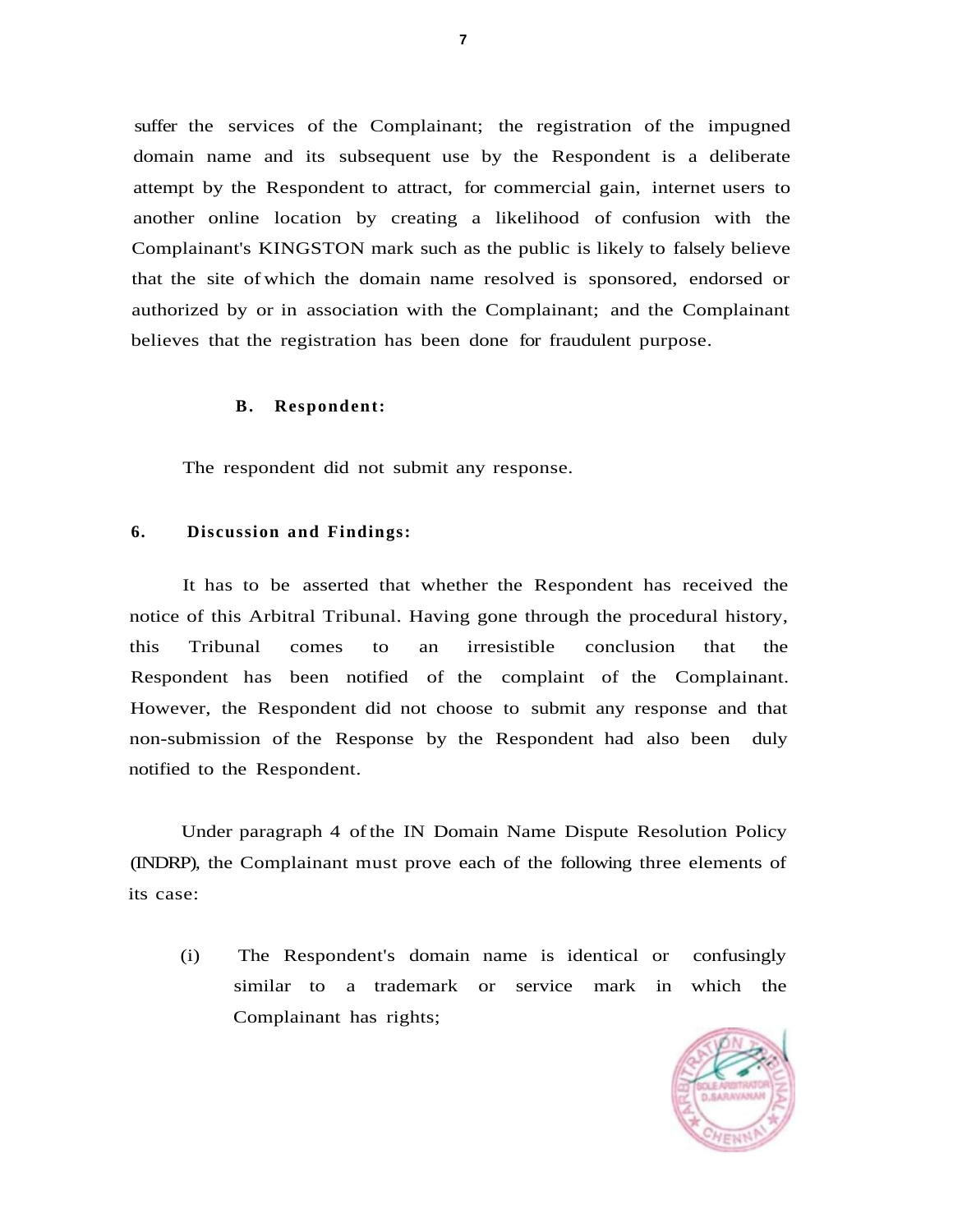suffer the services of the Complainant; the registration of the impugned domain name and its subsequent use by the Respondent is a deliberate attempt by the Respondent to attract, for commercial gain, internet users to another online location by creating a likelihood of confusion with the Complainant's KINGSTON mark such as the public is likely to falsely believe that the site of which the domain name resolved is sponsored, endorsed or authorized by or in association with the Complainant; and the Complainant believes that the registration has been done for fraudulent purpose.

#### **B. Respondent:**

The respondent did not submit any response.

#### **6. Discussion and Findings:**

It has to be asserted that whether the Respondent has received the notice of this Arbitral Tribunal. Having gone through the procedural history, this Tribunal comes to an irresistible conclusion that the Respondent has been notified of the complaint of the Complainant. However, the Respondent did not choose to submit any response and that non-submission of the Response by the Respondent had also been duly notified to the Respondent.

Under paragraph 4 of the IN Domain Name Dispute Resolution Policy (INDRP), the Complainant must prove each of the following three elements of its case:

(i) The Respondent's domain name is identical or confusingly similar to a trademark or service mark in which the Complainant has rights;

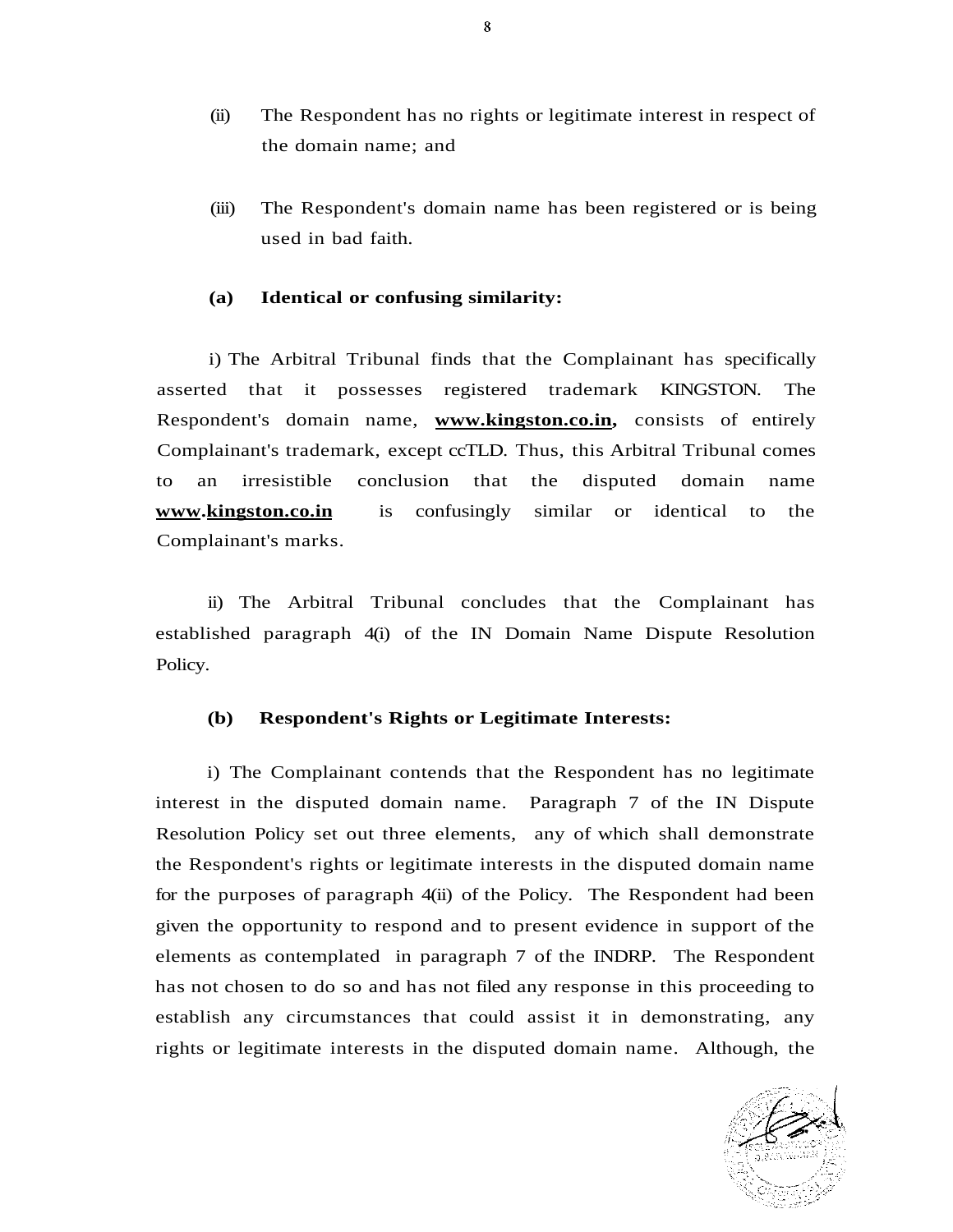- (ii) The Respondent has no rights or legitimate interest in respect of the domain name; and
- (iii) The Respondent's domain name has been registered or is being used in bad faith.

## **(a) Identical or confusing similarity:**

i) The Arbitral Tribunal finds that the Complainant has specifically asserted that it possesses registered trademark KINGSTON. The Respondent's domain name, **[www.kingston.co.in,](http://www.kingston.co.in)** consists of entirely Complainant's trademark, except ccTLD. Thus, this Arbitral Tribunal comes to an irresistible conclusion that the disputed domain name **www.kingston.co.in** is confusingly similar or identical to the Complainant's marks.

ii) The Arbitral Tribunal concludes that the Complainant has established paragraph 4(i) of the IN Domain Name Dispute Resolution Policy.

### **(b) Respondent's Rights or Legitimate Interests:**

i) The Complainant contends that the Respondent has no legitimate interest in the disputed domain name. Paragraph 7 of the IN Dispute Resolution Policy set out three elements, any of which shall demonstrate the Respondent's rights or legitimate interests in the disputed domain name for the purposes of paragraph 4(ii) of the Policy. The Respondent had been given the opportunity to respond and to present evidence in support of the elements as contemplated in paragraph 7 of the INDRP. The Respondent has not chosen to do so and has not filed any response in this proceeding to establish any circumstances that could assist it in demonstrating, any rights or legitimate interests in the disputed domain name. Although, the

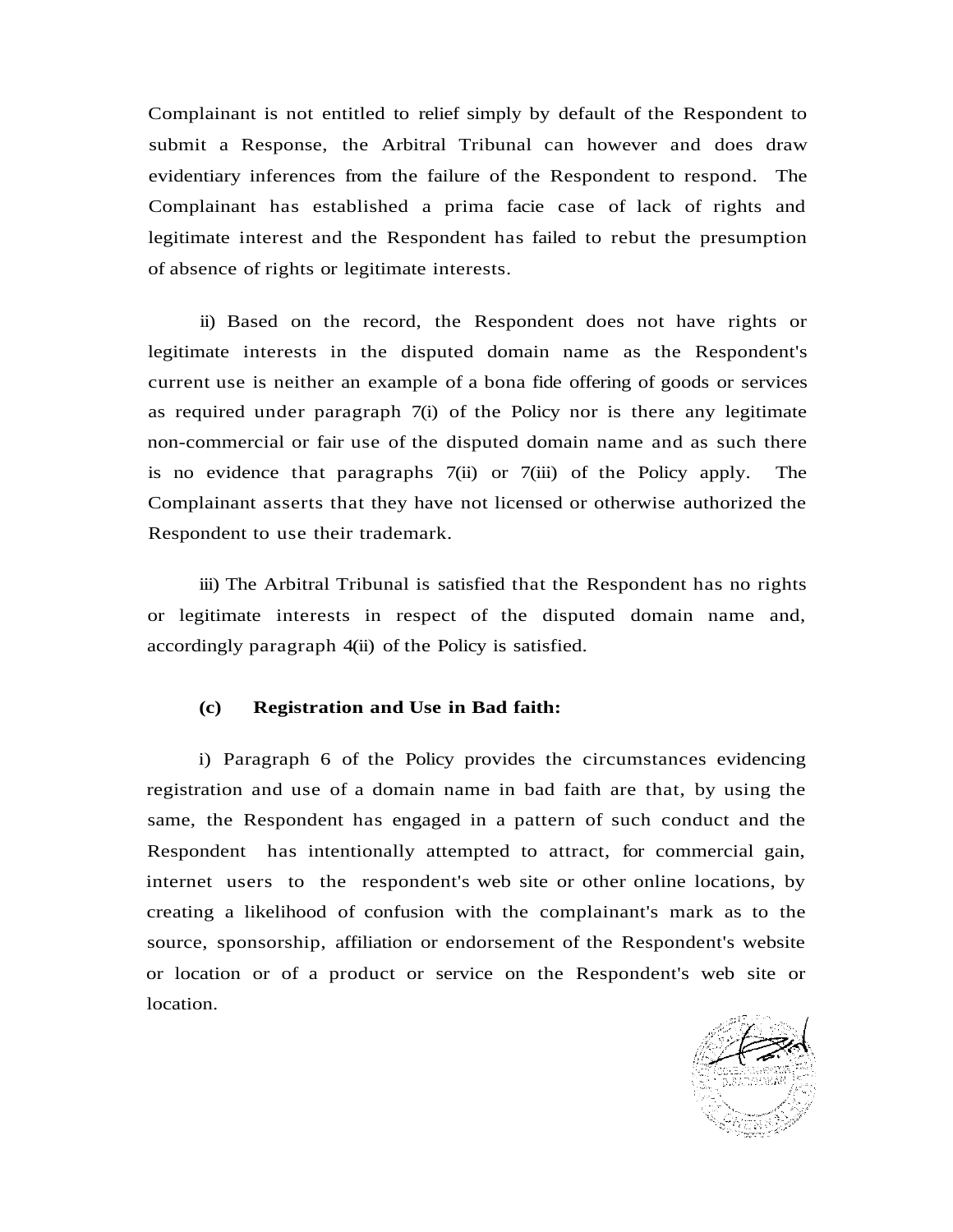Complainant is not entitled to relief simply by default of the Respondent to submit a Response, the Arbitral Tribunal can however and does draw evidentiary inferences from the failure of the Respondent to respond. The Complainant has established a prima facie case of lack of rights and legitimate interest and the Respondent has failed to rebut the presumption of absence of rights or legitimate interests.

ii) Based on the record, the Respondent does not have rights or legitimate interests in the disputed domain name as the Respondent's current use is neither an example of a bona fide offering of goods or services as required under paragraph 7(i) of the Policy nor is there any legitimate non-commercial or fair use of the disputed domain name and as such there is no evidence that paragraphs 7(ii) or 7(iii) of the Policy apply. The Complainant asserts that they have not licensed or otherwise authorized the Respondent to use their trademark.

iii) The Arbitral Tribunal is satisfied that the Respondent has no rights or legitimate interests in respect of the disputed domain name and, accordingly paragraph 4(ii) of the Policy is satisfied.

#### **(c) Registration and Use in Bad faith:**

i) Paragraph 6 of the Policy provides the circumstances evidencing registration and use of a domain name in bad faith are that, by using the same, the Respondent has engaged in a pattern of such conduct and the Respondent has intentionally attempted to attract, for commercial gain, internet users to the respondent's web site or other online locations, by creating a likelihood of confusion with the complainant's mark as to the source, sponsorship, affiliation or endorsement of the Respondent's website or location or of a product or service on the Respondent's web site or location.